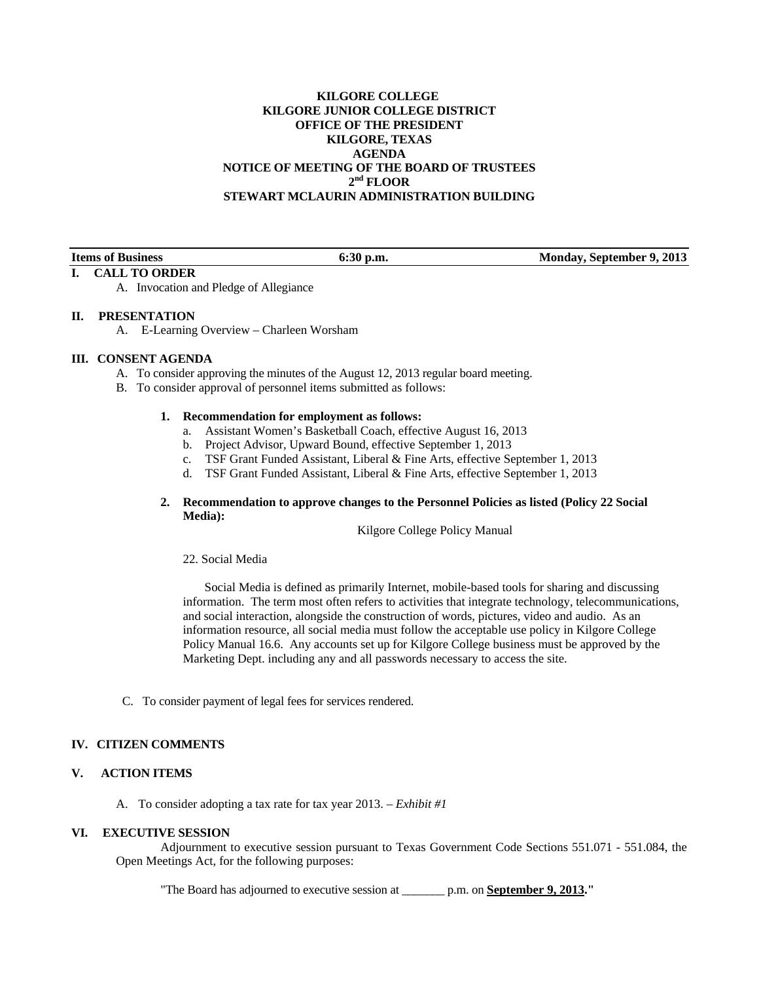## **KILGORE COLLEGE KILGORE JUNIOR COLLEGE DISTRICT OFFICE OF THE PRESIDENT KILGORE, TEXAS AGENDA NOTICE OF MEETING OF THE BOARD OF TRUSTEES**   $2<sup>nd</sup>$  FLOOR **STEWART MCLAURIN ADMINISTRATION BUILDING**

**I. CALL TO ORDER** 

**Items of Business 6:30 p.m. Monday, September 9, 2013** 

#### A. Invocation and Pledge of Allegiance

## **II. PRESENTATION**

A. E-Learning Overview – Charleen Worsham

## **III. CONSENT AGENDA**

- A. To consider approving the minutes of the August 12, 2013 regular board meeting.
- B. To consider approval of personnel items submitted as follows:

#### **1. Recommendation for employment as follows:**

- a. Assistant Women's Basketball Coach, effective August 16, 2013
- b. Project Advisor, Upward Bound, effective September 1, 2013
- c. TSF Grant Funded Assistant, Liberal & Fine Arts, effective September 1, 2013
- d. TSF Grant Funded Assistant, Liberal & Fine Arts, effective September 1, 2013

#### **2. Recommendation to approve changes to the Personnel Policies as listed (Policy 22 Social Media):**

Kilgore College Policy Manual

22. Social Media

 Social Media is defined as primarily Internet, mobile-based tools for sharing and discussing information. The term most often refers to activities that integrate technology, telecommunications, and social interaction, alongside the construction of words, pictures, video and audio. As an information resource, all social media must follow the acceptable use policy in Kilgore College Policy Manual 16.6. Any accounts set up for Kilgore College business must be approved by the Marketing Dept. including any and all passwords necessary to access the site.

C. To consider payment of legal fees for services rendered.

#### **IV. CITIZEN COMMENTS**

## **V. ACTION ITEMS**

A. To consider adopting a tax rate for tax year 2013. – *Exhibit #1* 

#### **VI. EXECUTIVE SESSION**

 Adjournment to executive session pursuant to Texas Government Code Sections 551.071 - 551.084, the Open Meetings Act, for the following purposes:

"The Board has adjourned to executive session at \_\_\_\_\_\_\_ p.m. on **September 9, 2013."**